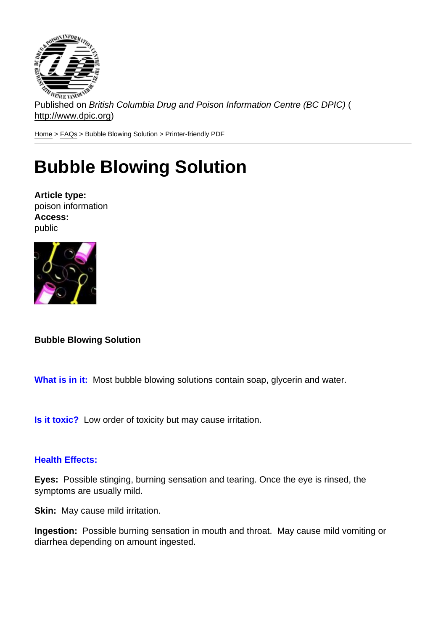Published on British Columbia Drug and Poison Information Centre (BC DPIC) ( http://www.dpic.org)

Home > FAQs > Bubble Blowing Solution > Printer-friendly PDF

## [Bu](http://www.dpic.org/)[bbl](http://www.dpic.org/faq)e Blowing Solution

Article type: poison information Access: public

Bubble Blowing Solution

What is in it: Most bubble blowing solutions contain soap, glycerin and water.

Is it toxic? Low order of toxicity but may cause irritation.

## Health Effects:

Eyes: Possible stinging, burning sensation and tearing. Once the eye is rinsed, the symptoms are usually mild.

Skin: May cause mild irritation.

Ingestion: Possible burning sensation in mouth and throat. May cause mild vomiting or diarrhea depending on amount ingested.